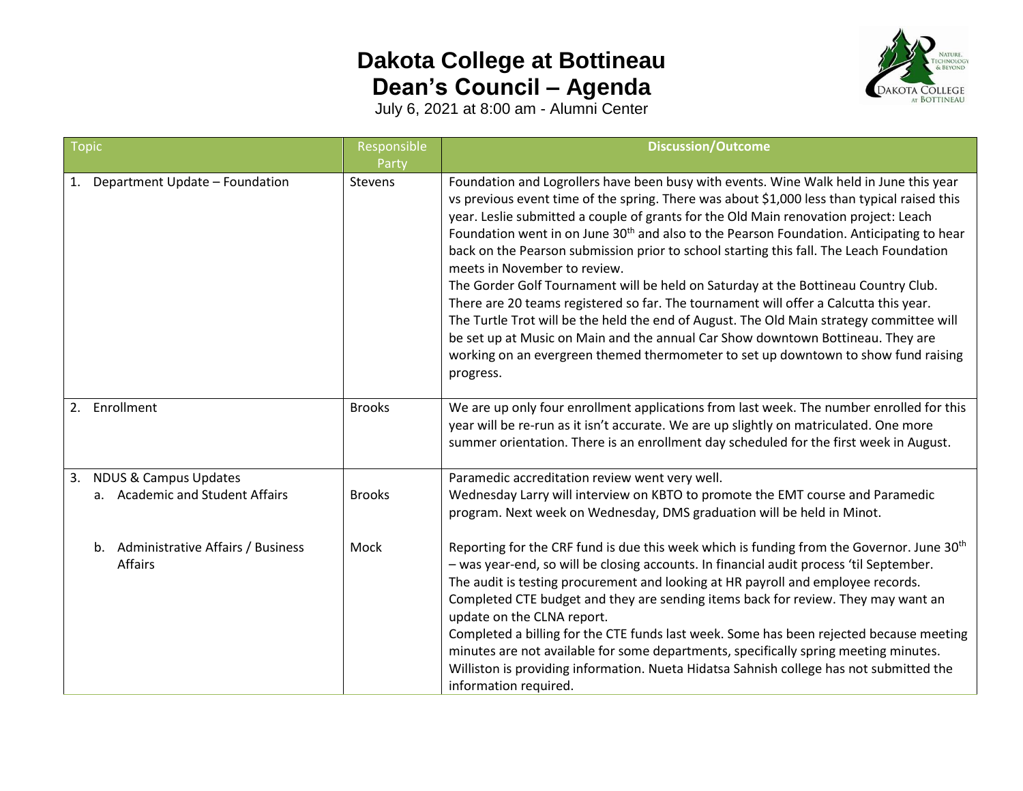## **Dakota College at Bottineau Dean's Council – Agenda**



July 6, 2021 at 8:00 am - Alumni Center

| <b>Topic</b>                                                              | Responsible             | <b>Discussion/Outcome</b>                                                                                                                                                                                                                                                                                                                                                                                                                                                                                                                                                                                                                                                                                                                                                                                                                                                                                                                                                         |
|---------------------------------------------------------------------------|-------------------------|-----------------------------------------------------------------------------------------------------------------------------------------------------------------------------------------------------------------------------------------------------------------------------------------------------------------------------------------------------------------------------------------------------------------------------------------------------------------------------------------------------------------------------------------------------------------------------------------------------------------------------------------------------------------------------------------------------------------------------------------------------------------------------------------------------------------------------------------------------------------------------------------------------------------------------------------------------------------------------------|
| Department Update - Foundation<br>1.                                      | Party<br><b>Stevens</b> | Foundation and Logrollers have been busy with events. Wine Walk held in June this year<br>vs previous event time of the spring. There was about \$1,000 less than typical raised this<br>year. Leslie submitted a couple of grants for the Old Main renovation project: Leach<br>Foundation went in on June 30 <sup>th</sup> and also to the Pearson Foundation. Anticipating to hear<br>back on the Pearson submission prior to school starting this fall. The Leach Foundation<br>meets in November to review.<br>The Gorder Golf Tournament will be held on Saturday at the Bottineau Country Club.<br>There are 20 teams registered so far. The tournament will offer a Calcutta this year.<br>The Turtle Trot will be the held the end of August. The Old Main strategy committee will<br>be set up at Music on Main and the annual Car Show downtown Bottineau. They are<br>working on an evergreen themed thermometer to set up downtown to show fund raising<br>progress. |
| Enrollment<br>2.                                                          | <b>Brooks</b>           | We are up only four enrollment applications from last week. The number enrolled for this<br>year will be re-run as it isn't accurate. We are up slightly on matriculated. One more<br>summer orientation. There is an enrollment day scheduled for the first week in August.                                                                                                                                                                                                                                                                                                                                                                                                                                                                                                                                                                                                                                                                                                      |
| <b>NDUS &amp; Campus Updates</b><br>3.<br>a. Academic and Student Affairs | <b>Brooks</b>           | Paramedic accreditation review went very well.<br>Wednesday Larry will interview on KBTO to promote the EMT course and Paramedic<br>program. Next week on Wednesday, DMS graduation will be held in Minot.                                                                                                                                                                                                                                                                                                                                                                                                                                                                                                                                                                                                                                                                                                                                                                        |
| b. Administrative Affairs / Business<br><b>Affairs</b>                    | Mock                    | Reporting for the CRF fund is due this week which is funding from the Governor. June 30 <sup>th</sup><br>- was year-end, so will be closing accounts. In financial audit process 'til September.<br>The audit is testing procurement and looking at HR payroll and employee records.<br>Completed CTE budget and they are sending items back for review. They may want an<br>update on the CLNA report.<br>Completed a billing for the CTE funds last week. Some has been rejected because meeting<br>minutes are not available for some departments, specifically spring meeting minutes.<br>Williston is providing information. Nueta Hidatsa Sahnish college has not submitted the<br>information required.                                                                                                                                                                                                                                                                    |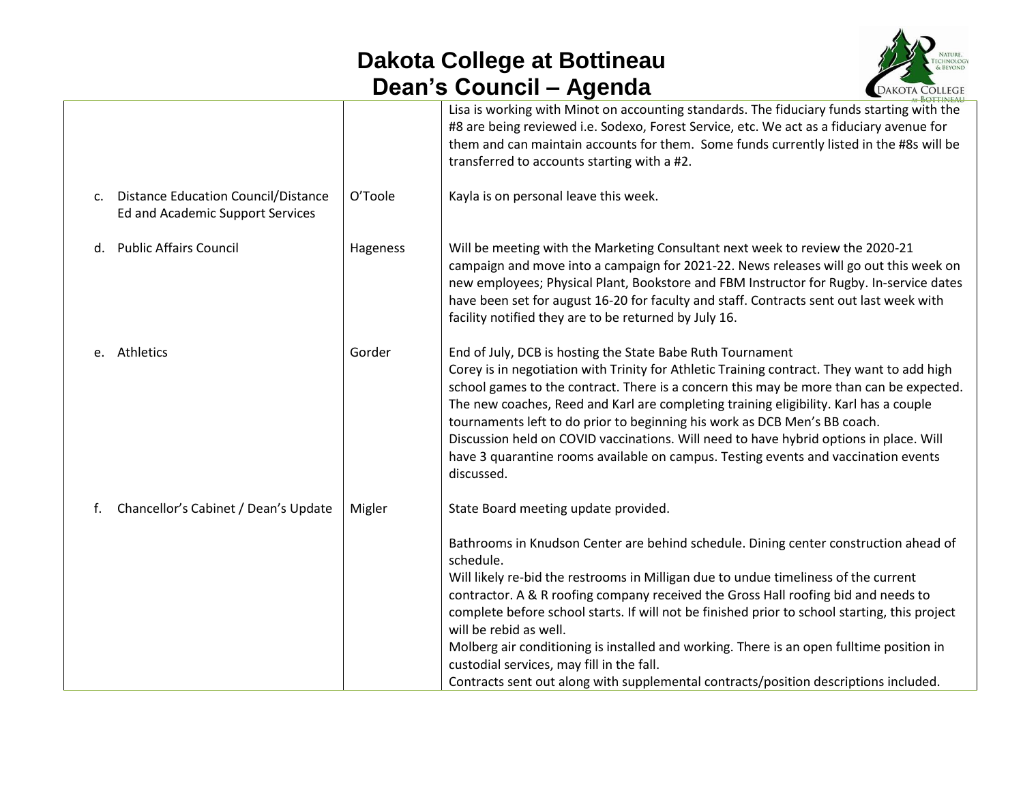## **Dakota College at Bottineau Dean's Council – Agenda**



|                |                                                                                |          | AT BOTTINEAU                                                                                                                                                                                                                                                                                                                                                                                                                                                                                                                                                                                                                                                                       |
|----------------|--------------------------------------------------------------------------------|----------|------------------------------------------------------------------------------------------------------------------------------------------------------------------------------------------------------------------------------------------------------------------------------------------------------------------------------------------------------------------------------------------------------------------------------------------------------------------------------------------------------------------------------------------------------------------------------------------------------------------------------------------------------------------------------------|
|                |                                                                                |          | Lisa is working with Minot on accounting standards. The fiduciary funds starting with the<br>#8 are being reviewed i.e. Sodexo, Forest Service, etc. We act as a fiduciary avenue for<br>them and can maintain accounts for them. Some funds currently listed in the #8s will be<br>transferred to accounts starting with a #2.                                                                                                                                                                                                                                                                                                                                                    |
| $\mathsf{C}$ . | <b>Distance Education Council/Distance</b><br>Ed and Academic Support Services | O'Toole  | Kayla is on personal leave this week.                                                                                                                                                                                                                                                                                                                                                                                                                                                                                                                                                                                                                                              |
|                | d. Public Affairs Council                                                      | Hageness | Will be meeting with the Marketing Consultant next week to review the 2020-21<br>campaign and move into a campaign for 2021-22. News releases will go out this week on<br>new employees; Physical Plant, Bookstore and FBM Instructor for Rugby. In-service dates<br>have been set for august 16-20 for faculty and staff. Contracts sent out last week with<br>facility notified they are to be returned by July 16.                                                                                                                                                                                                                                                              |
|                | e. Athletics                                                                   | Gorder   | End of July, DCB is hosting the State Babe Ruth Tournament<br>Corey is in negotiation with Trinity for Athletic Training contract. They want to add high<br>school games to the contract. There is a concern this may be more than can be expected.<br>The new coaches, Reed and Karl are completing training eligibility. Karl has a couple<br>tournaments left to do prior to beginning his work as DCB Men's BB coach.<br>Discussion held on COVID vaccinations. Will need to have hybrid options in place. Will<br>have 3 quarantine rooms available on campus. Testing events and vaccination events<br>discussed.                                                            |
| f.             | Chancellor's Cabinet / Dean's Update                                           | Migler   | State Board meeting update provided.<br>Bathrooms in Knudson Center are behind schedule. Dining center construction ahead of<br>schedule.<br>Will likely re-bid the restrooms in Milligan due to undue timeliness of the current<br>contractor. A & R roofing company received the Gross Hall roofing bid and needs to<br>complete before school starts. If will not be finished prior to school starting, this project<br>will be rebid as well.<br>Molberg air conditioning is installed and working. There is an open fulltime position in<br>custodial services, may fill in the fall.<br>Contracts sent out along with supplemental contracts/position descriptions included. |